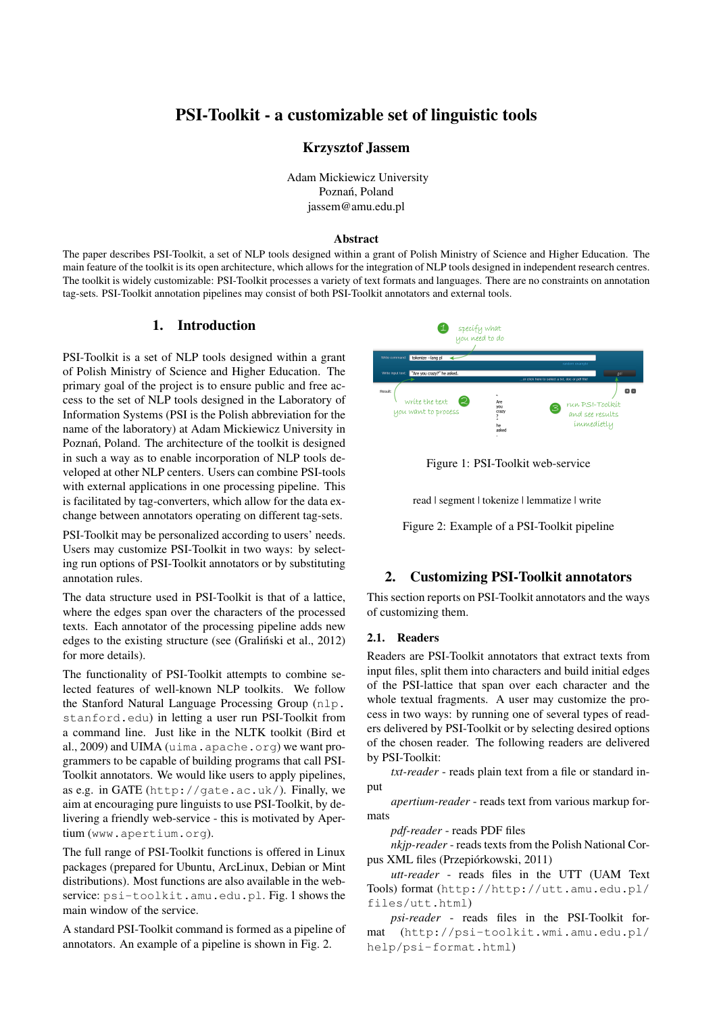# PSI-Toolkit - a customizable set of linguistic tools

### Krzysztof Jassem

Adam Mickiewicz University Poznań, Poland jassem@amu.edu.pl

#### Abstract

The paper describes PSI-Toolkit, a set of NLP tools designed within a grant of Polish Ministry of Science and Higher Education. The main feature of the toolkit is its open architecture, which allows for the integration of NLP tools designed in independent research centres. The toolkit is widely customizable: PSI-Toolkit processes a variety of text formats and languages. There are no constraints on annotation tag-sets. PSI-Toolkit annotation pipelines may consist of both PSI-Toolkit annotators and external tools.

# 1. Introduction

PSI-Toolkit is a set of NLP tools designed within a grant of Polish Ministry of Science and Higher Education. The primary goal of the project is to ensure public and free access to the set of NLP tools designed in the Laboratory of Information Systems (PSI is the Polish abbreviation for the name of the laboratory) at Adam Mickiewicz University in Poznań, Poland. The architecture of the toolkit is designed in such a way as to enable incorporation of NLP tools developed at other NLP centers. Users can combine PSI-tools with external applications in one processing pipeline. This is facilitated by tag-converters, which allow for the data exchange between annotators operating on different tag-sets.

PSI-Toolkit may be personalized according to users' needs. Users may customize PSI-Toolkit in two ways: by selecting run options of PSI-Toolkit annotators or by substituting annotation rules.

The data structure used in PSI-Toolkit is that of a lattice, where the edges span over the characters of the processed texts. Each annotator of the processing pipeline adds new edges to the existing structure (see (Gralinski et al., 2012) for more details).

The functionality of PSI-Toolkit attempts to combine selected features of well-known NLP toolkits. We follow the Stanford Natural Language Processing Group (nlp. stanford.edu) in letting a user run PSI-Toolkit from a command line. Just like in the NLTK toolkit (Bird et al., 2009) and UIMA (uima.apache.org) we want programmers to be capable of building programs that call PSI-Toolkit annotators. We would like users to apply pipelines, as e.g. in GATE (http://gate.ac.uk/). Finally, we aim at encouraging pure linguists to use PSI-Toolkit, by delivering a friendly web-service - this is motivated by Apertium (www.apertium.org).

The full range of PSI-Toolkit functions is offered in Linux packages (prepared for Ubuntu, ArcLinux, Debian or Mint distributions). Most functions are also available in the webservice: psi-toolkit.amu.edu.pl. Fig. 1 shows the main window of the service.

A standard PSI-Toolkit command is formed as a pipeline of annotators. An example of a pipeline is shown in Fig. 2.





read | segment | tokenize | lemmatize | write

Figure 2: Example of a PSI-Toolkit pipeline

# 2. Customizing PSI-Toolkit annotators

This section reports on PSI-Toolkit annotators and the ways of customizing them.

#### 2.1. Readers

Readers are PSI-Toolkit annotators that extract texts from input files, split them into characters and build initial edges of the PSI-lattice that span over each character and the whole textual fragments. A user may customize the process in two ways: by running one of several types of readers delivered by PSI-Toolkit or by selecting desired options of the chosen reader. The following readers are delivered by PSI-Toolkit:

*txt-reader* - reads plain text from a file or standard input

*apertium-reader* - reads text from various markup formats

*pdf-reader* - reads PDF files

*nkjp-reader* - reads texts from the Polish National Corpus XML files (Przepiórkowski, 2011)

*utt-reader* - reads files in the UTT (UAM Text Tools) format (http://http://utt.amu.edu.pl/ files/utt.html)

*psi-reader* - reads files in the PSI-Toolkit format (http://psi-toolkit.wmi.amu.edu.pl/ help/psi-format.html)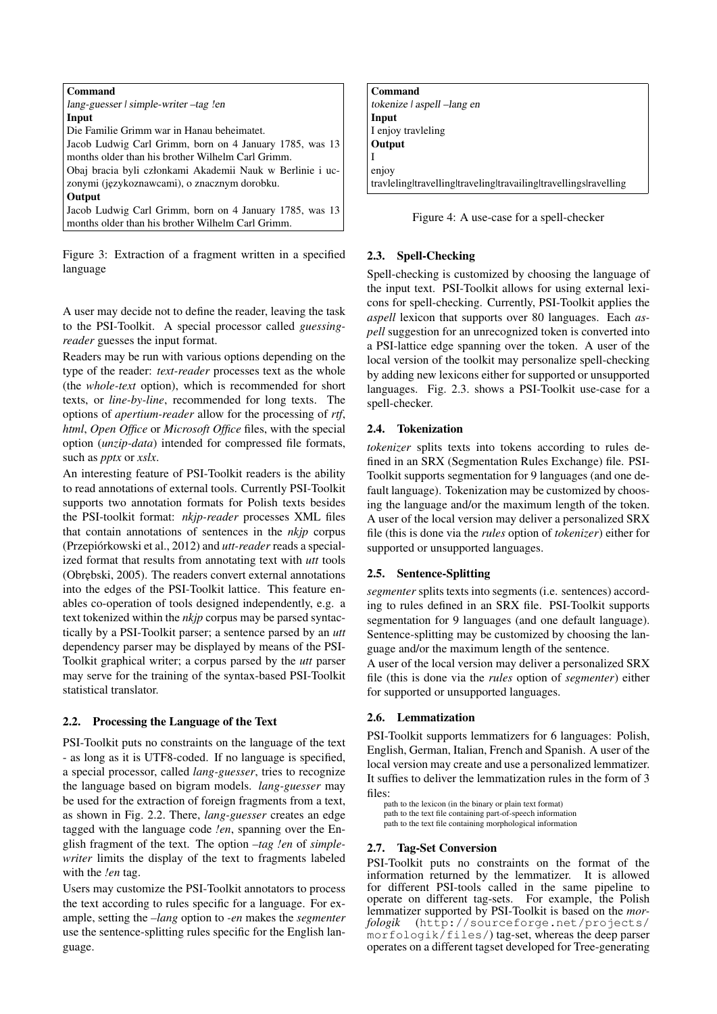| Command                                                   |
|-----------------------------------------------------------|
| lang-guesser   simple-writer –tag !en                     |
| Input                                                     |
| Die Familie Grimm war in Hanau beheimatet.                |
| Jacob Ludwig Carl Grimm, born on 4 January 1785, was 13   |
| months older than his brother Wilhelm Carl Grimm.         |
| Obaj bracia byli członkami Akademii Nauk w Berlinie i uc- |
| zonymi (językoznawcami), o znacznym dorobku.              |
| Output                                                    |
| Jacob Ludwig Carl Grimm, born on 4 January 1785, was 13   |
| months older than his brother Wilhelm Carl Grimm.         |

Figure 3: Extraction of a fragment written in a specified language

A user may decide not to define the reader, leaving the task to the PSI-Toolkit. A special processor called *guessingreader* guesses the input format.

Readers may be run with various options depending on the type of the reader: *text-reader* processes text as the whole (the *whole-text* option), which is recommended for short texts, or *line-by-line*, recommended for long texts. The options of *apertium-reader* allow for the processing of *rtf*, *html*, *Open Office* or *Microsoft Office* files, with the special option (*unzip-data*) intended for compressed file formats, such as *pptx* or *xslx*.

An interesting feature of PSI-Toolkit readers is the ability to read annotations of external tools. Currently PSI-Toolkit supports two annotation formats for Polish texts besides the PSI-toolkit format: *nkjp-reader* processes XML files that contain annotations of sentences in the *nkjp* corpus (Przepiórkowski et al., 2012) and *utt-reader* reads a specialized format that results from annotating text with *utt* tools (Obrebski, 2005). The readers convert external annotations into the edges of the PSI-Toolkit lattice. This feature enables co-operation of tools designed independently, e.g. a text tokenized within the *nkjp* corpus may be parsed syntactically by a PSI-Toolkit parser; a sentence parsed by an *utt* dependency parser may be displayed by means of the PSI-Toolkit graphical writer; a corpus parsed by the *utt* parser may serve for the training of the syntax-based PSI-Toolkit statistical translator.

### 2.2. Processing the Language of the Text

PSI-Toolkit puts no constraints on the language of the text - as long as it is UTF8-coded. If no language is specified, a special processor, called *lang-guesser*, tries to recognize the language based on bigram models. *lang-guesser* may be used for the extraction of foreign fragments from a text, as shown in Fig. 2.2. There, *lang-guesser* creates an edge tagged with the language code *!en*, spanning over the English fragment of the text. The option *–tag !en* of *simplewriter* limits the display of the text to fragments labeled with the *!en* tag.

Users may customize the PSI-Toolkit annotators to process the text according to rules specific for a language. For example, setting the *–lang* option to *-en* makes the *segmenter* use the sentence-splitting rules specific for the English language.

| Command                                                          |
|------------------------------------------------------------------|
| tokenize   aspell - lang en                                      |
| Input                                                            |
| I enjoy travleling                                               |
| Output                                                           |
|                                                                  |
| enjoy                                                            |
| travleling travelling traveling travailing travellings ravelling |



### 2.3. Spell-Checking

Spell-checking is customized by choosing the language of the input text. PSI-Toolkit allows for using external lexicons for spell-checking. Currently, PSI-Toolkit applies the *aspell* lexicon that supports over 80 languages. Each *aspell* suggestion for an unrecognized token is converted into a PSI-lattice edge spanning over the token. A user of the local version of the toolkit may personalize spell-checking by adding new lexicons either for supported or unsupported languages. Fig. 2.3. shows a PSI-Toolkit use-case for a spell-checker.

### 2.4. Tokenization

*tokenizer* splits texts into tokens according to rules defined in an SRX (Segmentation Rules Exchange) file. PSI-Toolkit supports segmentation for 9 languages (and one default language). Tokenization may be customized by choosing the language and/or the maximum length of the token. A user of the local version may deliver a personalized SRX file (this is done via the *rules* option of *tokenizer*) either for supported or unsupported languages.

### 2.5. Sentence-Splitting

*segmenter* splits texts into segments (i.e. sentences) according to rules defined in an SRX file. PSI-Toolkit supports segmentation for 9 languages (and one default language). Sentence-splitting may be customized by choosing the language and/or the maximum length of the sentence.

A user of the local version may deliver a personalized SRX file (this is done via the *rules* option of *segmenter*) either for supported or unsupported languages.

### 2.6. Lemmatization

PSI-Toolkit supports lemmatizers for 6 languages: Polish, English, German, Italian, French and Spanish. A user of the local version may create and use a personalized lemmatizer. It suffies to deliver the lemmatization rules in the form of 3 files:

path to the lexicon (in the binary or plain text format) path to the text file containing part-of-speech information path to the text file containing morphological information

### 2.7. Tag-Set Conversion

PSI-Toolkit puts no constraints on the format of the information returned by the lemmatizer. It is allowed for different PSI-tools called in the same pipeline to operate on different tag-sets. For example, the Polish lemmatizer supported by PSI-Toolkit is based on the *morfologik* (http://sourceforge.net/projects/  $morfoloqik/files/$ ) tag-set, whereas the deep parser operates on a different tagset developed for Tree-generating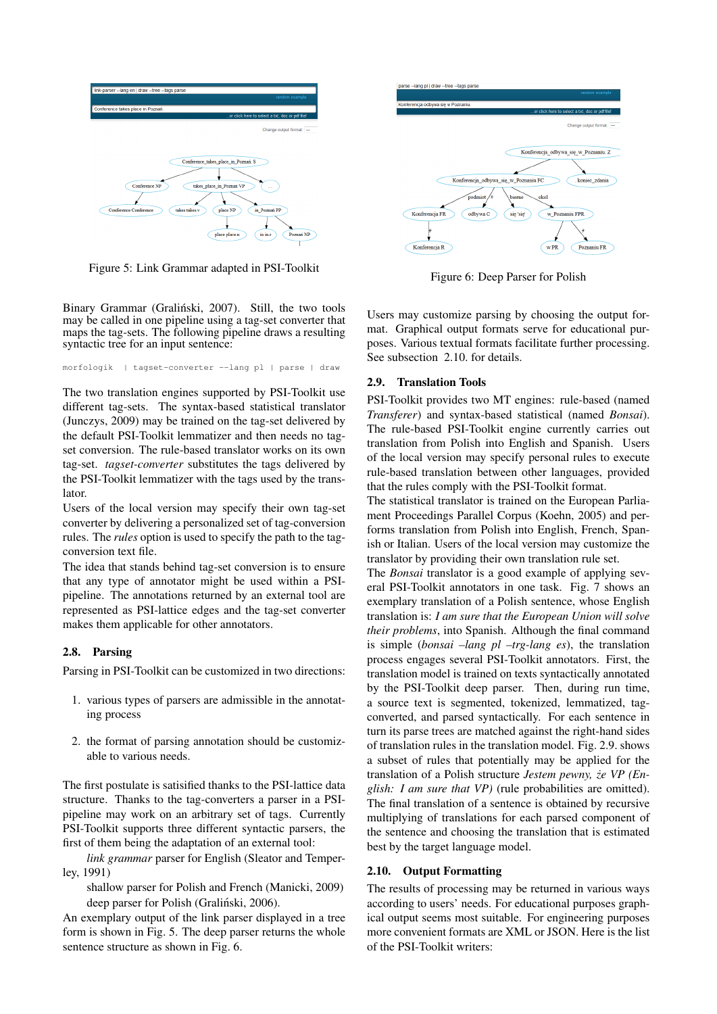

Figure 5: Link Grammar adapted in PSI-Toolkit

Binary Grammar (Graliński, 2007). Still, the two tools may be called in one pipeline using a tag-set converter that maps the tag-sets. The following pipeline draws a resulting syntactic tree for an input sentence:

morfologik | tagset-converter --lang pl | parse | draw

The two translation engines supported by PSI-Toolkit use different tag-sets. The syntax-based statistical translator (Junczys, 2009) may be trained on the tag-set delivered by the default PSI-Toolkit lemmatizer and then needs no tagset conversion. The rule-based translator works on its own tag-set. *tagset-converter* substitutes the tags delivered by the PSI-Toolkit lemmatizer with the tags used by the translator.

Users of the local version may specify their own tag-set converter by delivering a personalized set of tag-conversion rules. The *rules* option is used to specify the path to the tagconversion text file.

The idea that stands behind tag-set conversion is to ensure that any type of annotator might be used within a PSIpipeline. The annotations returned by an external tool are represented as PSI-lattice edges and the tag-set converter makes them applicable for other annotators.

### 2.8. Parsing

Parsing in PSI-Toolkit can be customized in two directions:

- 1. various types of parsers are admissible in the annotating process
- 2. the format of parsing annotation should be customizable to various needs.

The first postulate is satisified thanks to the PSI-lattice data structure. Thanks to the tag-converters a parser in a PSIpipeline may work on an arbitrary set of tags. Currently PSI-Toolkit supports three different syntactic parsers, the first of them being the adaptation of an external tool:

*link grammar* parser for English (Sleator and Temperley, 1991)

shallow parser for Polish and French (Manicki, 2009) deep parser for Polish (Graliński, 2006).

An exemplary output of the link parser displayed in a tree form is shown in Fig. 5. The deep parser returns the whole sentence structure as shown in Fig. 6.



Figure 6: Deep Parser for Polish

Users may customize parsing by choosing the output format. Graphical output formats serve for educational purposes. Various textual formats facilitate further processing. See subsection 2.10. for details.

#### 2.9. Translation Tools

PSI-Toolkit provides two MT engines: rule-based (named *Transferer*) and syntax-based statistical (named *Bonsai*). The rule-based PSI-Toolkit engine currently carries out translation from Polish into English and Spanish. Users of the local version may specify personal rules to execute rule-based translation between other languages, provided that the rules comply with the PSI-Toolkit format.

The statistical translator is trained on the European Parliament Proceedings Parallel Corpus (Koehn, 2005) and performs translation from Polish into English, French, Spanish or Italian. Users of the local version may customize the translator by providing their own translation rule set.

The *Bonsai* translator is a good example of applying several PSI-Toolkit annotators in one task. Fig. 7 shows an exemplary translation of a Polish sentence, whose English translation is: *I am sure that the European Union will solve their problems*, into Spanish. Although the final command is simple (*bonsai –lang pl –trg-lang es*), the translation process engages several PSI-Toolkit annotators. First, the translation model is trained on texts syntactically annotated by the PSI-Toolkit deep parser. Then, during run time, a source text is segmented, tokenized, lemmatized, tagconverted, and parsed syntactically. For each sentence in turn its parse trees are matched against the right-hand sides of translation rules in the translation model. Fig. 2.9. shows a subset of rules that potentially may be applied for the translation of a Polish structure *Jestem pewny, ze VP (En- ˙ glish: I am sure that VP)* (rule probabilities are omitted). The final translation of a sentence is obtained by recursive multiplying of translations for each parsed component of the sentence and choosing the translation that is estimated best by the target language model.

#### 2.10. Output Formatting

The results of processing may be returned in various ways according to users' needs. For educational purposes graphical output seems most suitable. For engineering purposes more convenient formats are XML or JSON. Here is the list of the PSI-Toolkit writers: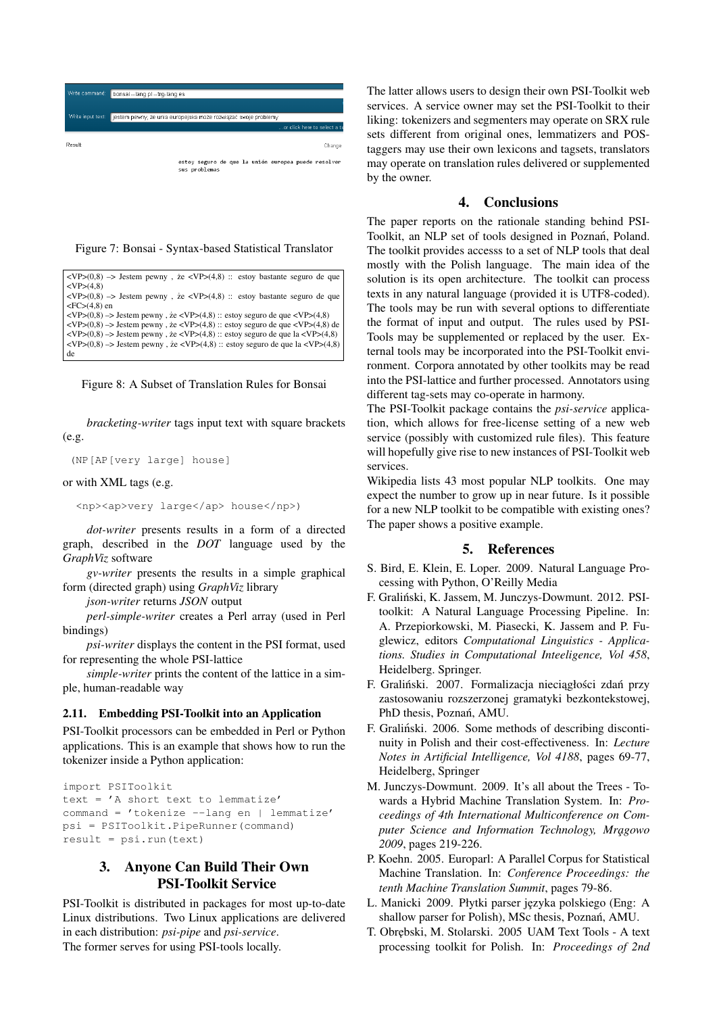

Figure 7: Bonsai - Syntax-based Statistical Translator

| $\langle VP(0,8) \rangle$ -> Jestem pewny, ze $\langle VP(4,8) : \rangle$ estoy bastante seguro de que                                                         |
|----------------------------------------------------------------------------------------------------------------------------------------------------------------|
| $<\text{VP}>(4.8)$                                                                                                                                             |
| $\langle VP(0,8) \rangle$ -> Jestem pewny, ze $\langle VP(4,8) : \rangle$ : estoy bastante seguro de que                                                       |
| $<$ FC $>(4,8)$ en                                                                                                                                             |
| $\langle VP \rangle (0,8)$ $\rightarrow$ Jestem pewny, ze $\langle VP \rangle (4,8)$ :: estoy seguro de que $\langle VP \rangle (4,8)$                         |
| $\langle \text{VP} \rangle (0,8)$ $\rightarrow$ Jestem pewny, ze $\langle \text{VP} \rangle (4,8)$ :: estoy seguro de que $\langle \text{VP} \rangle (4,8)$ de |
| $\langle VP \rangle(0,8)$ -> Jestem pewny, że $\langle VP \rangle(4,8)$ :: estoy seguro de que la $\langle VP \rangle(4,8)$                                    |
| $\langle VP(0,8) \rangle$ => Jestem pewny, ze $\langle VP(4,8) : \rangle$ estoy seguro de que la $\langle VP(4,8) \rangle$                                     |
| de                                                                                                                                                             |

Figure 8: A Subset of Translation Rules for Bonsai

*bracketing-writer* tags input text with square brackets  $(e.g.$ 

```
(NP[AP[very large] house]
```
#### or with XML tags (e.g.

<np><ap>very large</ap> house</np>)

*dot-writer* presents results in a form of a directed graph, described in the *DOT* language used by the *GraphViz* software

*gv-writer* presents the results in a simple graphical form (directed graph) using *GraphViz* library

*json-writer* returns *JSON* output

*perl-simple-writer* creates a Perl array (used in Perl bindings)

*psi-writer* displays the content in the PSI format, used for representing the whole PSI-lattice

*simple-writer* prints the content of the lattice in a simple, human-readable way

### 2.11. Embedding PSI-Toolkit into an Application

PSI-Toolkit processors can be embedded in Perl or Python applications. This is an example that shows how to run the tokenizer inside a Python application:

```
import PSIToolkit
text = 'A short text to lemmatize'
command = 'tokenize --lang en | lemmatize'
psi = PSIToolkit.PipeRunner(command)
result = psi.run(text)
```
# 3. Anyone Can Build Their Own PSI-Toolkit Service

PSI-Toolkit is distributed in packages for most up-to-date Linux distributions. Two Linux applications are delivered in each distribution: *psi-pipe* and *psi-service*. The former serves for using PSI-tools locally.

The latter allows users to design their own PSI-Toolkit web services. A service owner may set the PSI-Toolkit to their liking: tokenizers and segmenters may operate on SRX rule sets different from original ones, lemmatizers and POStaggers may use their own lexicons and tagsets, translators may operate on translation rules delivered or supplemented by the owner.

# 4. Conclusions

The paper reports on the rationale standing behind PSI-Toolkit, an NLP set of tools designed in Poznań, Poland. The toolkit provides accesss to a set of NLP tools that deal mostly with the Polish language. The main idea of the solution is its open architecture. The toolkit can process texts in any natural language (provided it is UTF8-coded). The tools may be run with several options to differentiate the format of input and output. The rules used by PSI-Tools may be supplemented or replaced by the user. External tools may be incorporated into the PSI-Toolkit environment. Corpora annotated by other toolkits may be read into the PSI-lattice and further processed. Annotators using different tag-sets may co-operate in harmony.

The PSI-Toolkit package contains the *psi-service* application, which allows for free-license setting of a new web service (possibly with customized rule files). This feature will hopefully give rise to new instances of PSI-Toolkit web services.

Wikipedia lists 43 most popular NLP toolkits. One may expect the number to grow up in near future. Is it possible for a new NLP toolkit to be compatible with existing ones? The paper shows a positive example.

### 5. References

- S. Bird, E. Klein, E. Loper. 2009. Natural Language Processing with Python, O'Reilly Media
- F. Gralinski, K. Jassem, M. Junczys-Dowmunt. 2012. PSI- ´ toolkit: A Natural Language Processing Pipeline. In: A. Przepiorkowski, M. Piasecki, K. Jassem and P. Fuglewicz, editors *Computational Linguistics - Applications. Studies in Computational Inteeligence, Vol 458*, Heidelberg. Springer.
- F. Graliński. 2007. Formalizacja nieciągłości zdań przy zastosowaniu rozszerzonej gramatyki bezkontekstowej, PhD thesis, Poznań, AMU.
- F. Graliński. 2006. Some methods of describing discontinuity in Polish and their cost-effectiveness. In: *Lecture Notes in Artificial Intelligence, Vol 4188*, pages 69-77, Heidelberg, Springer
- M. Junczys-Dowmunt. 2009. It's all about the Trees Towards a Hybrid Machine Translation System. In: *Proceedings of 4th International Multiconference on Com*puter Science and Information Technology, Mragowo *2009*, pages 219-226.
- P. Koehn. 2005. Europarl: A Parallel Corpus for Statistical Machine Translation. In: *Conference Proceedings: the tenth Machine Translation Summit*, pages 79-86.
- L. Manicki 2009. Płytki parser języka polskiego (Eng: A shallow parser for Polish), MSc thesis, Poznań, AMU.
- T. Obr˛ebski, M. Stolarski. 2005 UAM Text Tools A text processing toolkit for Polish. In: *Proceedings of 2nd*